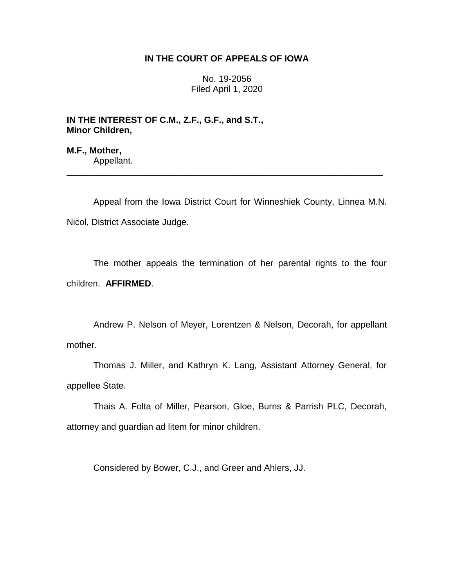## **IN THE COURT OF APPEALS OF IOWA**

No. 19-2056 Filed April 1, 2020

**IN THE INTEREST OF C.M., Z.F., G.F., and S.T., Minor Children,**

**M.F., Mother,** Appellant.

Appeal from the Iowa District Court for Winneshiek County, Linnea M.N. Nicol, District Associate Judge.

\_\_\_\_\_\_\_\_\_\_\_\_\_\_\_\_\_\_\_\_\_\_\_\_\_\_\_\_\_\_\_\_\_\_\_\_\_\_\_\_\_\_\_\_\_\_\_\_\_\_\_\_\_\_\_\_\_\_\_\_\_\_\_\_

The mother appeals the termination of her parental rights to the four children. **AFFIRMED**.

Andrew P. Nelson of Meyer, Lorentzen & Nelson, Decorah, for appellant mother.

Thomas J. Miller, and Kathryn K. Lang, Assistant Attorney General, for appellee State.

Thais A. Folta of Miller, Pearson, Gloe, Burns & Parrish PLC, Decorah, attorney and guardian ad litem for minor children.

Considered by Bower, C.J., and Greer and Ahlers, JJ.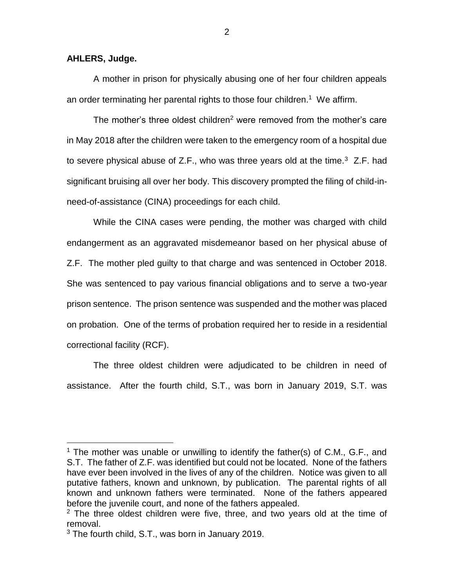## **AHLERS, Judge.**

 $\overline{a}$ 

A mother in prison for physically abusing one of her four children appeals an order terminating her parental rights to those four children.<sup>1</sup> We affirm.

The mother's three oldest children<sup>2</sup> were removed from the mother's care in May 2018 after the children were taken to the emergency room of a hospital due to severe physical abuse of Z.F., who was three years old at the time. $3$  Z.F. had significant bruising all over her body. This discovery prompted the filing of child-inneed-of-assistance (CINA) proceedings for each child.

While the CINA cases were pending, the mother was charged with child endangerment as an aggravated misdemeanor based on her physical abuse of Z.F. The mother pled guilty to that charge and was sentenced in October 2018. She was sentenced to pay various financial obligations and to serve a two-year prison sentence. The prison sentence was suspended and the mother was placed on probation. One of the terms of probation required her to reside in a residential correctional facility (RCF).

The three oldest children were adjudicated to be children in need of assistance. After the fourth child, S.T., was born in January 2019, S.T. was

<sup>&</sup>lt;sup>1</sup> The mother was unable or unwilling to identify the father(s) of C.M., G.F., and S.T. The father of Z.F. was identified but could not be located. None of the fathers have ever been involved in the lives of any of the children. Notice was given to all putative fathers, known and unknown, by publication. The parental rights of all known and unknown fathers were terminated. None of the fathers appeared before the juvenile court, and none of the fathers appealed.

 $2$  The three oldest children were five, three, and two years old at the time of removal.

<sup>&</sup>lt;sup>3</sup> The fourth child, S.T., was born in January 2019.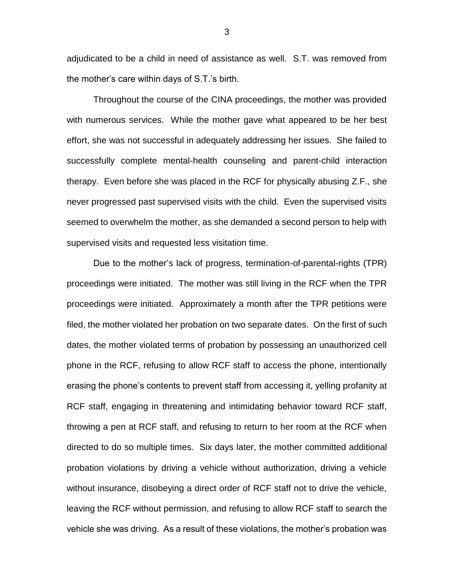adjudicated to be a child in need of assistance as well. S.T. was removed from the mother's care within days of S.T.'s birth.

Throughout the course of the CINA proceedings, the mother was provided with numerous services. While the mother gave what appeared to be her best effort, she was not successful in adequately addressing her issues. She failed to successfully complete mental-health counseling and parent-child interaction therapy. Even before she was placed in the RCF for physically abusing Z.F., she never progressed past supervised visits with the child. Even the supervised visits seemed to overwhelm the mother, as she demanded a second person to help with supervised visits and requested less visitation time.

Due to the mother's lack of progress, termination-of-parental-rights (TPR) proceedings were initiated. The mother was still living in the RCF when the TPR proceedings were initiated. Approximately a month after the TPR petitions were filed, the mother violated her probation on two separate dates. On the first of such dates, the mother violated terms of probation by possessing an unauthorized cell phone in the RCF, refusing to allow RCF staff to access the phone, intentionally erasing the phone's contents to prevent staff from accessing it, yelling profanity at RCF staff, engaging in threatening and intimidating behavior toward RCF staff, throwing a pen at RCF staff, and refusing to return to her room at the RCF when directed to do so multiple times. Six days later, the mother committed additional probation violations by driving a vehicle without authorization, driving a vehicle without insurance, disobeying a direct order of RCF staff not to drive the vehicle, leaving the RCF without permission, and refusing to allow RCF staff to search the vehicle she was driving. As a result of these violations, the mother's probation was

3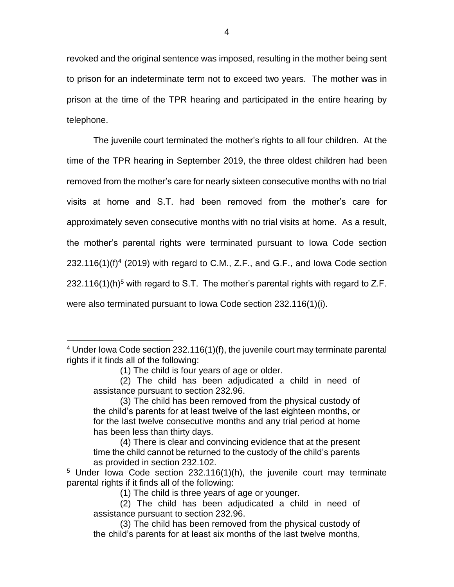revoked and the original sentence was imposed, resulting in the mother being sent to prison for an indeterminate term not to exceed two years. The mother was in prison at the time of the TPR hearing and participated in the entire hearing by telephone.

The juvenile court terminated the mother's rights to all four children. At the time of the TPR hearing in September 2019, the three oldest children had been removed from the mother's care for nearly sixteen consecutive months with no trial visits at home and S.T. had been removed from the mother's care for approximately seven consecutive months with no trial visits at home. As a result, the mother's parental rights were terminated pursuant to Iowa Code section  $232.116(1)$ (f)<sup>4</sup> (2019) with regard to C.M., Z.F., and G.F., and lowa Code section 232.116(1)(h)<sup>5</sup> with regard to S.T. The mother's parental rights with regard to Z.F. were also terminated pursuant to Iowa Code section 232.116(1)(i).

 $\overline{a}$ 

<sup>4</sup> Under Iowa Code section 232.116(1)(f), the juvenile court may terminate parental rights if it finds all of the following:

<sup>(1)</sup> The child is four years of age or older.

<sup>(2)</sup> The child has been adjudicated a child in need of assistance pursuant to section 232.96.

<sup>(3)</sup> The child has been removed from the physical custody of the child's parents for at least twelve of the last eighteen months, or for the last twelve consecutive months and any trial period at home has been less than thirty days.

<sup>(4)</sup> There is clear and convincing evidence that at the present time the child cannot be returned to the custody of the child's parents as provided in section 232.102.

<sup>&</sup>lt;sup>5</sup> Under Iowa Code section 232.116(1)(h), the juvenile court may terminate parental rights if it finds all of the following:

<sup>(1)</sup> The child is three years of age or younger.

<sup>(2)</sup> The child has been adjudicated a child in need of assistance pursuant to section 232.96.

<sup>(3)</sup> The child has been removed from the physical custody of the child's parents for at least six months of the last twelve months,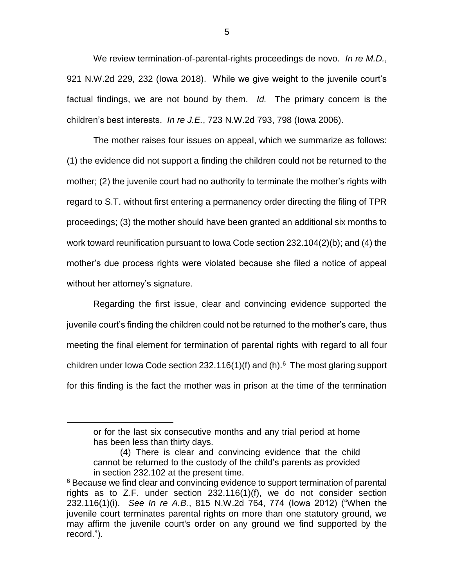We review termination-of-parental-rights proceedings de novo. *In re M.D.*, 921 N.W.2d 229, 232 (Iowa 2018). While we give weight to the juvenile court's factual findings, we are not bound by them. *Id.* The primary concern is the children's best interests. *In re J.E.*, 723 N.W.2d 793, 798 (Iowa 2006).

The mother raises four issues on appeal, which we summarize as follows: (1) the evidence did not support a finding the children could not be returned to the mother; (2) the juvenile court had no authority to terminate the mother's rights with regard to S.T. without first entering a permanency order directing the filing of TPR proceedings; (3) the mother should have been granted an additional six months to work toward reunification pursuant to Iowa Code section 232.104(2)(b); and (4) the mother's due process rights were violated because she filed a notice of appeal without her attorney's signature.

Regarding the first issue, clear and convincing evidence supported the juvenile court's finding the children could not be returned to the mother's care, thus meeting the final element for termination of parental rights with regard to all four children under lowa Code section  $232.116(1)$ (f) and (h).<sup>6</sup> The most glaring support for this finding is the fact the mother was in prison at the time of the termination

 $\overline{a}$ 

or for the last six consecutive months and any trial period at home has been less than thirty days.

<sup>(4)</sup> There is clear and convincing evidence that the child cannot be returned to the custody of the child's parents as provided in section 232.102 at the present time.

<sup>&</sup>lt;sup>6</sup> Because we find clear and convincing evidence to support termination of parental rights as to Z.F. under section 232.116(1)(f), we do not consider section 232.116(1)(i). *See In re A.B.*, 815 N.W.2d 764, 774 (Iowa 2012) ("When the juvenile court terminates parental rights on more than one statutory ground, we may affirm the juvenile court's order on any ground we find supported by the record.").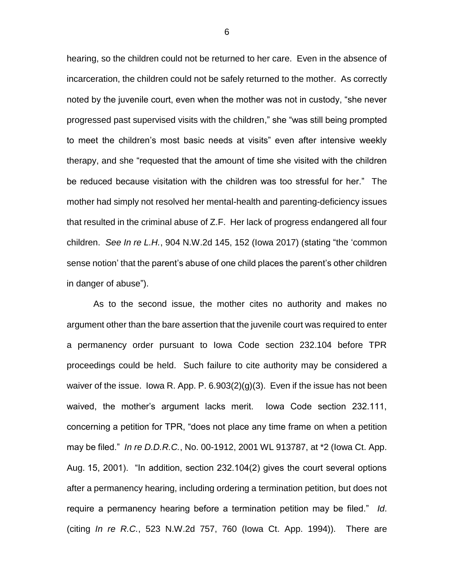hearing, so the children could not be returned to her care. Even in the absence of incarceration, the children could not be safely returned to the mother. As correctly noted by the juvenile court, even when the mother was not in custody, "she never progressed past supervised visits with the children," she "was still being prompted to meet the children's most basic needs at visits" even after intensive weekly therapy, and she "requested that the amount of time she visited with the children be reduced because visitation with the children was too stressful for her." The mother had simply not resolved her mental-health and parenting-deficiency issues that resulted in the criminal abuse of Z.F. Her lack of progress endangered all four children. *See In re L.H.*, 904 N.W.2d 145, 152 (Iowa 2017) (stating "the 'common sense notion' that the parent's abuse of one child places the parent's other children in danger of abuse").

As to the second issue, the mother cites no authority and makes no argument other than the bare assertion that the juvenile court was required to enter a permanency order pursuant to Iowa Code section 232.104 before TPR proceedings could be held. Such failure to cite authority may be considered a waiver of the issue. Iowa R. App. P.  $6.903(2)(g)(3)$ . Even if the issue has not been waived, the mother's argument lacks merit. Iowa Code section 232.111, concerning a petition for TPR, "does not place any time frame on when a petition may be filed." *In re D.D.R.C.*, No. 00-1912, 2001 WL 913787, at \*2 (Iowa Ct. App. Aug. 15, 2001). "In addition, section 232.104(2) gives the court several options after a permanency hearing, including ordering a termination petition, but does not require a permanency hearing before a termination petition may be filed." *Id*. (citing *In re R.C.*, 523 N.W.2d 757, 760 (Iowa Ct. App. 1994)). There are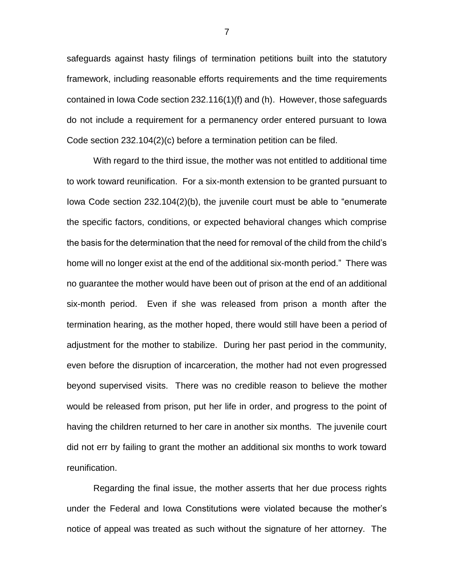safeguards against hasty filings of termination petitions built into the statutory framework, including reasonable efforts requirements and the time requirements contained in Iowa Code section 232.116(1)(f) and (h). However, those safeguards do not include a requirement for a permanency order entered pursuant to Iowa Code section 232.104(2)(c) before a termination petition can be filed.

With regard to the third issue, the mother was not entitled to additional time to work toward reunification. For a six-month extension to be granted pursuant to Iowa Code section 232.104(2)(b), the juvenile court must be able to "enumerate the specific factors, conditions, or expected behavioral changes which comprise the basis for the determination that the need for removal of the child from the child's home will no longer exist at the end of the additional six-month period." There was no guarantee the mother would have been out of prison at the end of an additional six-month period. Even if she was released from prison a month after the termination hearing, as the mother hoped, there would still have been a period of adjustment for the mother to stabilize. During her past period in the community, even before the disruption of incarceration, the mother had not even progressed beyond supervised visits. There was no credible reason to believe the mother would be released from prison, put her life in order, and progress to the point of having the children returned to her care in another six months. The juvenile court did not err by failing to grant the mother an additional six months to work toward reunification.

Regarding the final issue, the mother asserts that her due process rights under the Federal and Iowa Constitutions were violated because the mother's notice of appeal was treated as such without the signature of her attorney. The

7